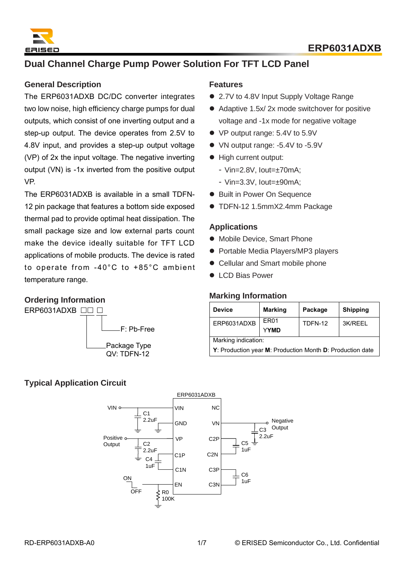

# **Dual Channel Charge Pump Power Solution For TFT LCD Panel**

#### **General Description**

The ERP6031ADXB DC/DC converter integrates two low noise, high efficiency charge pumps for dual outputs, which consist of one inverting output and a step-up output. The device operates from 2.5V to 4.8V input, and provides a step-up output voltage (VP) of 2x the input voltage. The negative inverting output (VN) is -1x inverted from the positive output VP.

The ERP6031ADXB is available in a small TDFN-12 pin package that features a bottom side exposed thermal pad to provide optimal heat dissipation. The small package size and low external parts count make the device ideally suitable for TFT LCD applications of mobile products. The device is rated to operate from -40°C to +85°C ambient temperature range.

#### **Ordering Information**



## **Features**

- 2.7V to 4.8V Input Supply Voltage Range
- Adaptive 1.5x/ 2x mode switchover for positive voltage and -1x mode for negative voltage
- VP output range: 5.4V to 5.9V
- VN output range: -5.4V to -5.9V
- ⚫ High current output:
	- ‑ Vin=2.8V, Iout=±70mA;
	- Vin= $3.3V$ , lout= $\pm 90$ mA:
- Built in Power On Sequence
- TDFN-12 1.5mmX2.4mm Package

#### **Applications**

- ⚫ Mobile Device, Smart Phone
- Portable Media Players/MP3 players
- Cellular and Smart mobile phone
- LCD Bias Power

#### **Marking Information**

| <b>Device</b>                                             | <b>Marking</b>                  | Package | <b>Shipping</b> |  |
|-----------------------------------------------------------|---------------------------------|---------|-----------------|--|
| ERP6031ADXB                                               | ER <sub>01</sub><br><b>YYMD</b> | TDFN-12 | 3K/REEL         |  |
| Marking indication:                                       |                                 |         |                 |  |
| Y: Production year M: Production Month D: Production date |                                 |         |                 |  |

### **Typical Application Circuit**